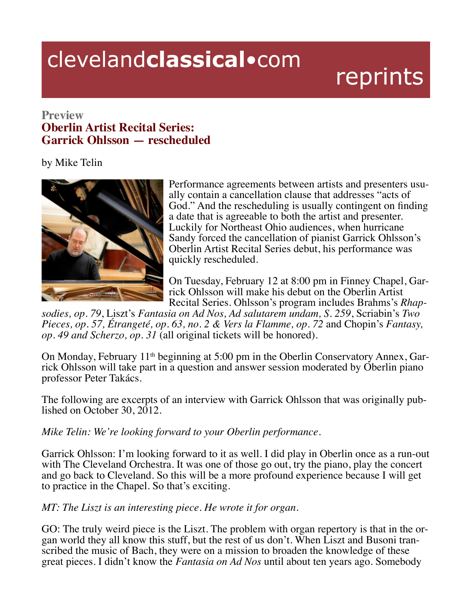## clevelandclassical.com

## reprints

## **Preview Oberlin Artist Recital Series: Garrick Ohlsson — rescheduled**

by Mike Telin



Performance agreements between artists and presenters usu- ally contain a cancellation clause that addresses "acts of God." And the rescheduling is usually contingent on finding a date that is agreeable to both the artist and presenter. Luckily for Northeast Ohio audiences, when hurricane Sandy forced the cancellation of pianist Garrick Ohlsson's Oberlin Artist Recital Series debut, his performance was quickly rescheduled.

On Tuesday, February 12 at 8:00 pm in Finney Chapel, Garrick Ohlsson will make his debut on the Oberlin Artist Recital Series. Ohlsson's program includes Brahms's *Rhap-*

*sodies, op. 79*, Liszt's *Fantasia on Ad Nos, Ad salutarem undam, S. 259*, Scriabin's *Two Pieces, op. 57, Étrangeté, op. 63, no. 2 & Vers la Flamme, op. 72* and Chopin's *Fantasy, op. 49 and Scherzo, op. 31* (all original tickets will be honored).

On Monday, February 11<sup>th</sup> beginning at 5:00 pm in the Oberlin Conservatory Annex, Garrick Ohlsson will take part in a question and answer session moderated by Oberlin piano professor Peter Takács.

The following are excerpts of an interview with Garrick Ohlsson that was originally pub- lished on October 30, 2012.

*Mike Telin: We're looking forward to your Oberlin performance.*

Garrick Ohlsson: I'm looking forward to it as well. I did play in Oberlin once as a run-out with The Cleveland Orchestra. It was one of those go out, try the piano, play the concert and go back to Cleveland. So this will be a more profound experience because I will get to practice in the Chapel. So that's exciting.

*MT: The Liszt is an interesting piece. He wrote it for organ.*

GO: The truly weird piece is the Liszt. The problem with organ repertory is that in the organ world they all know this stuff, but the rest of us don't. When Liszt and Busoni transcribed the music of Bach, they were on a mi great pieces. I didn't know the *Fantasia on Ad Nos* until about ten years ago. Somebody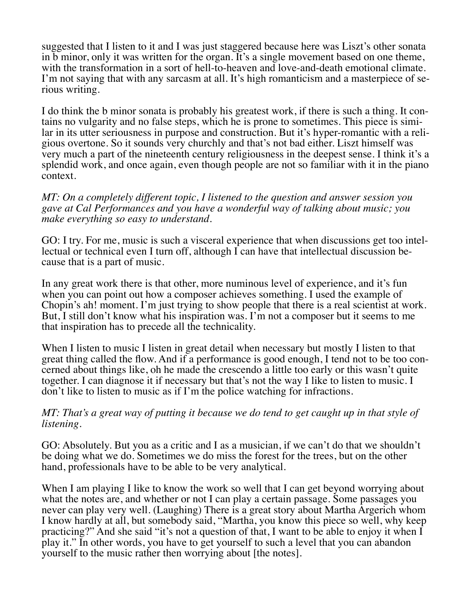suggested that I listen to it and I was just staggered because here was Liszt's other sonata in b minor, only it was written for the organ. It's a single movement based on one theme, with the transformation in a sort of hell-to-heaven and love-and-death emotional climate. I'm not saying that with any sarcasm at all. It's high romanticism and a masterpiece of serious writing.

I do think the b minor sonata is probably his greatest work, if there is such a thing. It contains no vulgarity and no false steps, which he is prone to sometimes. This piece is similar in its utter seriousness in purpose and construction. But it's hyper-romantic with a religious overtone. So it sounds very churchly and that's not bad either. Liszt himself was very much a part of the nineteenth century religiousness in the deepest sense. I think it's a splendid work, and once again, even though people are not so familiar with it in the piano context.

*MT: On a completely different topic, I listened to the question and answer session you gave at Cal Performances and you have a wonderful way of talking about music; you make everything so easy to understand.*

GO: I try. For me, music is such a visceral experience that when discussions get too intellectual or technical even I turn off, although I can have that intellectual discussion because that is a part of music.

In any great work there is that other, more numinous level of experience, and it's fun when you can point out how a composer achieves something. I used the example of Chopin's ah! moment. I'm just trying to show people that there is a real scientist at work. But, I still don't know what his inspiration was. I'm not a composer but it seems to me that inspiration has to precede all the technicality.

When I listen to music I listen in great detail when necessary but mostly I listen to that great thing called the flow. And if a performance is good enough, I tend not to be too concerned about things like, oh he made the crescendo a little too early or this wasn't quite together. I can diagnose it if necessary but that's not the way I like to listen to music. I don't like to listen to music as if I'm the police watching for infractions.

## *MT: That's a great way of putting it because we do tend to get caught up in that style of listening.*

GO: Absolutely. But you as a critic and I as a musician, if we can't do that we shouldn't be doing what we do. Sometimes we do miss the forest for the trees, but on the other hand, professionals have to be able to be very analytical.

When I am playing I like to know the work so well that I can get beyond worrying about what the notes are, and whether or not I can play a certain passage. Some passages you never can play very well. (Laughing) There is a great story about Martha Argerich whom I know hardly at all, but somebody said, "Martha, you know this piece so well, why keep practicing?" And she said "it's not a question of that, I want to be able to enjoy it when I play it." In other words, you have to get yourself to such a level that you can abandon yourself to the music rather then worrying about [the notes].